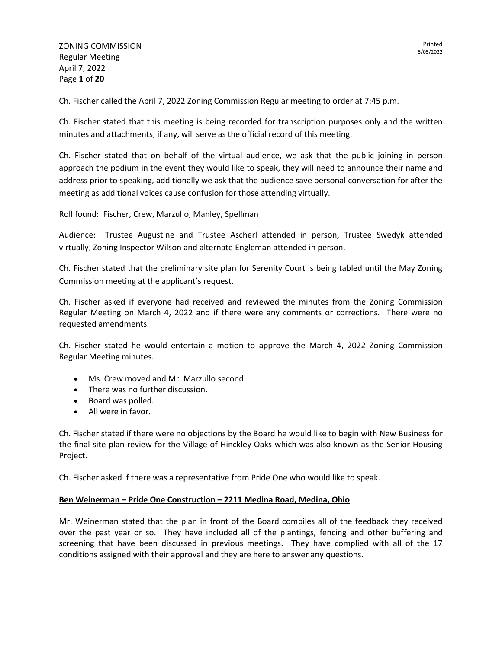Ch. Fischer called the April 7, 2022 Zoning Commission Regular meeting to order at 7:45 p.m.

Ch. Fischer stated that this meeting is being recorded for transcription purposes only and the written minutes and attachments, if any, will serve as the official record of this meeting.

Ch. Fischer stated that on behalf of the virtual audience, we ask that the public joining in person approach the podium in the event they would like to speak, they will need to announce their name and address prior to speaking, additionally we ask that the audience save personal conversation for after the meeting as additional voices cause confusion for those attending virtually.

Roll found: Fischer, Crew, Marzullo, Manley, Spellman

Audience: Trustee Augustine and Trustee Ascherl attended in person, Trustee Swedyk attended virtually, Zoning Inspector Wilson and alternate Engleman attended in person.

Ch. Fischer stated that the preliminary site plan for Serenity Court is being tabled until the May Zoning Commission meeting at the applicant's request.

Ch. Fischer asked if everyone had received and reviewed the minutes from the Zoning Commission Regular Meeting on March 4, 2022 and if there were any comments or corrections. There were no requested amendments.

Ch. Fischer stated he would entertain a motion to approve the March 4, 2022 Zoning Commission Regular Meeting minutes.

- Ms. Crew moved and Mr. Marzullo second.
- There was no further discussion.
- Board was polled.
- All were in favor.

Ch. Fischer stated if there were no objections by the Board he would like to begin with New Business for the final site plan review for the Village of Hinckley Oaks which was also known as the Senior Housing Project.

Ch. Fischer asked if there was a representative from Pride One who would like to speak.

## **Ben Weinerman – Pride One Construction – 2211 Medina Road, Medina, Ohio**

Mr. Weinerman stated that the plan in front of the Board compiles all of the feedback they received over the past year or so. They have included all of the plantings, fencing and other buffering and screening that have been discussed in previous meetings. They have complied with all of the 17 conditions assigned with their approval and they are here to answer any questions.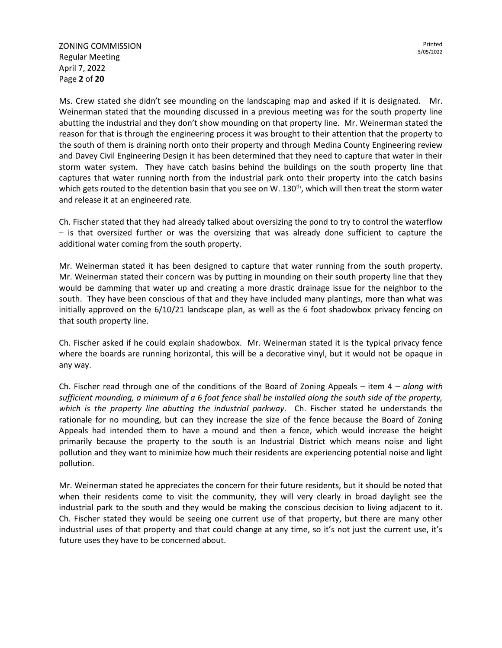ZONING COMMISSION Regular Meeting April 7, 2022 Page **2** of **20**

Ms. Crew stated she didn't see mounding on the landscaping map and asked if it is designated. Mr. Weinerman stated that the mounding discussed in a previous meeting was for the south property line abutting the industrial and they don't show mounding on that property line. Mr. Weinerman stated the reason for that is through the engineering process it was brought to their attention that the property to the south of them is draining north onto their property and through Medina County Engineering review and Davey Civil Engineering Design it has been determined that they need to capture that water in their storm water system. They have catch basins behind the buildings on the south property line that captures that water running north from the industrial park onto their property into the catch basins which gets routed to the detention basin that you see on W. 130<sup>th</sup>, which will then treat the storm water and release it at an engineered rate.

Ch. Fischer stated that they had already talked about oversizing the pond to try to control the waterflow – is that oversized further or was the oversizing that was already done sufficient to capture the additional water coming from the south property.

Mr. Weinerman stated it has been designed to capture that water running from the south property. Mr. Weinerman stated their concern was by putting in mounding on their south property line that they would be damming that water up and creating a more drastic drainage issue for the neighbor to the south. They have been conscious of that and they have included many plantings, more than what was initially approved on the 6/10/21 landscape plan, as well as the 6 foot shadowbox privacy fencing on that south property line.

Ch. Fischer asked if he could explain shadowbox. Mr. Weinerman stated it is the typical privacy fence where the boards are running horizontal, this will be a decorative vinyl, but it would not be opaque in any way.

Ch. Fischer read through one of the conditions of the Board of Zoning Appeals – item 4 – *along with sufficient mounding, a minimum of a 6 foot fence shall be installed along the south side of the property, which is the property line abutting the industrial parkway*. Ch. Fischer stated he understands the rationale for no mounding, but can they increase the size of the fence because the Board of Zoning Appeals had intended them to have a mound and then a fence, which would increase the height primarily because the property to the south is an Industrial District which means noise and light pollution and they want to minimize how much their residents are experiencing potential noise and light pollution.

Mr. Weinerman stated he appreciates the concern for their future residents, but it should be noted that when their residents come to visit the community, they will very clearly in broad daylight see the industrial park to the south and they would be making the conscious decision to living adjacent to it. Ch. Fischer stated they would be seeing one current use of that property, but there are many other industrial uses of that property and that could change at any time, so it's not just the current use, it's future uses they have to be concerned about.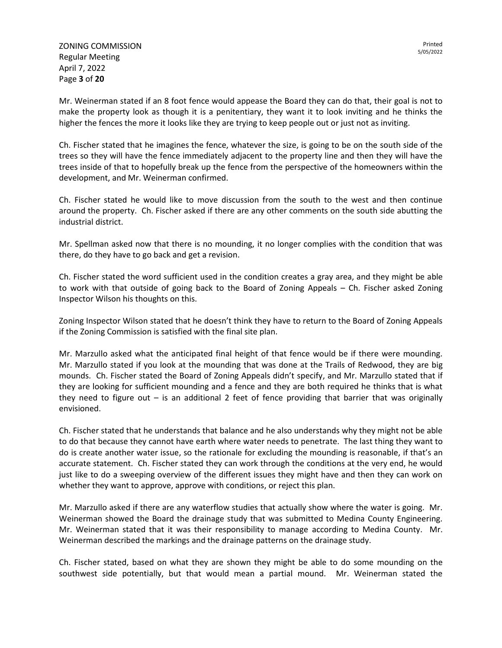Mr. Weinerman stated if an 8 foot fence would appease the Board they can do that, their goal is not to make the property look as though it is a penitentiary, they want it to look inviting and he thinks the higher the fences the more it looks like they are trying to keep people out or just not as inviting.

Ch. Fischer stated that he imagines the fence, whatever the size, is going to be on the south side of the trees so they will have the fence immediately adjacent to the property line and then they will have the trees inside of that to hopefully break up the fence from the perspective of the homeowners within the development, and Mr. Weinerman confirmed.

Ch. Fischer stated he would like to move discussion from the south to the west and then continue around the property. Ch. Fischer asked if there are any other comments on the south side abutting the industrial district.

Mr. Spellman asked now that there is no mounding, it no longer complies with the condition that was there, do they have to go back and get a revision.

Ch. Fischer stated the word sufficient used in the condition creates a gray area, and they might be able to work with that outside of going back to the Board of Zoning Appeals – Ch. Fischer asked Zoning Inspector Wilson his thoughts on this.

Zoning Inspector Wilson stated that he doesn't think they have to return to the Board of Zoning Appeals if the Zoning Commission is satisfied with the final site plan.

Mr. Marzullo asked what the anticipated final height of that fence would be if there were mounding. Mr. Marzullo stated if you look at the mounding that was done at the Trails of Redwood, they are big mounds. Ch. Fischer stated the Board of Zoning Appeals didn't specify, and Mr. Marzullo stated that if they are looking for sufficient mounding and a fence and they are both required he thinks that is what they need to figure out – is an additional 2 feet of fence providing that barrier that was originally envisioned.

Ch. Fischer stated that he understands that balance and he also understands why they might not be able to do that because they cannot have earth where water needs to penetrate. The last thing they want to do is create another water issue, so the rationale for excluding the mounding is reasonable, if that's an accurate statement. Ch. Fischer stated they can work through the conditions at the very end, he would just like to do a sweeping overview of the different issues they might have and then they can work on whether they want to approve, approve with conditions, or reject this plan.

Mr. Marzullo asked if there are any waterflow studies that actually show where the water is going. Mr. Weinerman showed the Board the drainage study that was submitted to Medina County Engineering. Mr. Weinerman stated that it was their responsibility to manage according to Medina County. Mr. Weinerman described the markings and the drainage patterns on the drainage study.

Ch. Fischer stated, based on what they are shown they might be able to do some mounding on the southwest side potentially, but that would mean a partial mound. Mr. Weinerman stated the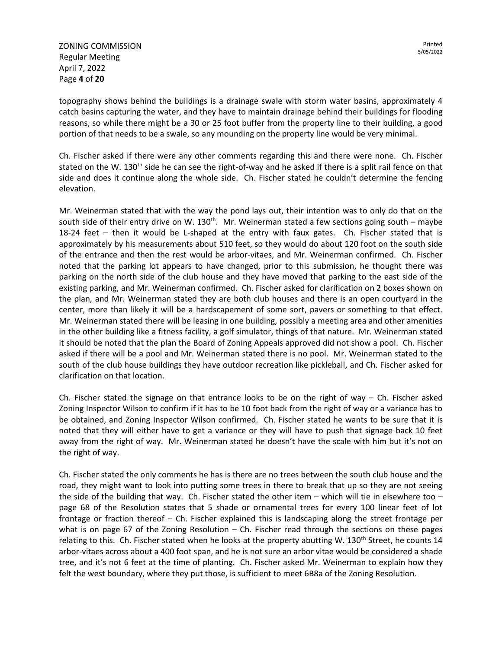ZONING COMMISSION Regular Meeting April 7, 2022 Page **4** of **20**

topography shows behind the buildings is a drainage swale with storm water basins, approximately 4 catch basins capturing the water, and they have to maintain drainage behind their buildings for flooding reasons, so while there might be a 30 or 25 foot buffer from the property line to their building, a good portion of that needs to be a swale, so any mounding on the property line would be very minimal.

Ch. Fischer asked if there were any other comments regarding this and there were none. Ch. Fischer stated on the W. 130<sup>th</sup> side he can see the right-of-way and he asked if there is a split rail fence on that side and does it continue along the whole side. Ch. Fischer stated he couldn't determine the fencing elevation.

Mr. Weinerman stated that with the way the pond lays out, their intention was to only do that on the south side of their entry drive on W. 130<sup>th</sup>. Mr. Weinerman stated a few sections going south – maybe 18-24 feet – then it would be L-shaped at the entry with faux gates. Ch. Fischer stated that is approximately by his measurements about 510 feet, so they would do about 120 foot on the south side of the entrance and then the rest would be arbor-vitaes, and Mr. Weinerman confirmed. Ch. Fischer noted that the parking lot appears to have changed, prior to this submission, he thought there was parking on the north side of the club house and they have moved that parking to the east side of the existing parking, and Mr. Weinerman confirmed. Ch. Fischer asked for clarification on 2 boxes shown on the plan, and Mr. Weinerman stated they are both club houses and there is an open courtyard in the center, more than likely it will be a hardscapement of some sort, pavers or something to that effect. Mr. Weinerman stated there will be leasing in one building, possibly a meeting area and other amenities in the other building like a fitness facility, a golf simulator, things of that nature. Mr. Weinerman stated it should be noted that the plan the Board of Zoning Appeals approved did not show a pool. Ch. Fischer asked if there will be a pool and Mr. Weinerman stated there is no pool. Mr. Weinerman stated to the south of the club house buildings they have outdoor recreation like pickleball, and Ch. Fischer asked for clarification on that location.

Ch. Fischer stated the signage on that entrance looks to be on the right of way  $-$  Ch. Fischer asked Zoning Inspector Wilson to confirm if it has to be 10 foot back from the right of way or a variance has to be obtained, and Zoning Inspector Wilson confirmed. Ch. Fischer stated he wants to be sure that it is noted that they will either have to get a variance or they will have to push that signage back 10 feet away from the right of way. Mr. Weinerman stated he doesn't have the scale with him but it's not on the right of way.

Ch. Fischer stated the only comments he has is there are no trees between the south club house and the road, they might want to look into putting some trees in there to break that up so they are not seeing the side of the building that way. Ch. Fischer stated the other item – which will tie in elsewhere too – page 68 of the Resolution states that 5 shade or ornamental trees for every 100 linear feet of lot frontage or fraction thereof – Ch. Fischer explained this is landscaping along the street frontage per what is on page 67 of the Zoning Resolution – Ch. Fischer read through the sections on these pages relating to this. Ch. Fischer stated when he looks at the property abutting W. 130<sup>th</sup> Street, he counts 14 arbor-vitaes across about a 400 foot span, and he is not sure an arbor vitae would be considered a shade tree, and it's not 6 feet at the time of planting. Ch. Fischer asked Mr. Weinerman to explain how they felt the west boundary, where they put those, is sufficient to meet 6B8a of the Zoning Resolution.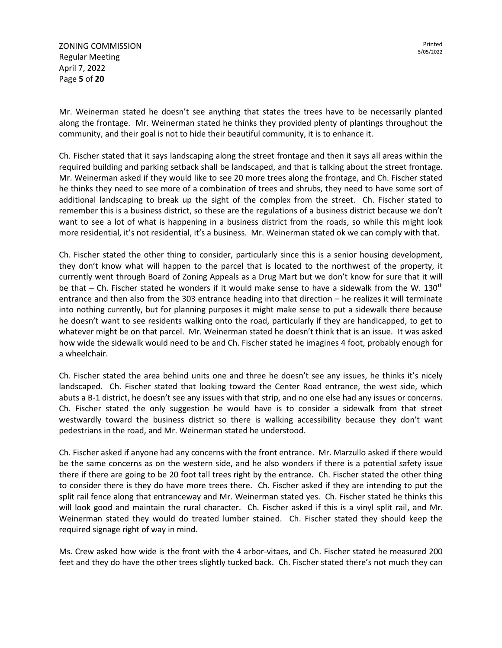ZONING COMMISSION Regular Meeting April 7, 2022 Page **5** of **20**

Mr. Weinerman stated he doesn't see anything that states the trees have to be necessarily planted along the frontage. Mr. Weinerman stated he thinks they provided plenty of plantings throughout the community, and their goal is not to hide their beautiful community, it is to enhance it.

Ch. Fischer stated that it says landscaping along the street frontage and then it says all areas within the required building and parking setback shall be landscaped, and that is talking about the street frontage. Mr. Weinerman asked if they would like to see 20 more trees along the frontage, and Ch. Fischer stated he thinks they need to see more of a combination of trees and shrubs, they need to have some sort of additional landscaping to break up the sight of the complex from the street. Ch. Fischer stated to remember this is a business district, so these are the regulations of a business district because we don't want to see a lot of what is happening in a business district from the roads, so while this might look more residential, it's not residential, it's a business. Mr. Weinerman stated ok we can comply with that.

Ch. Fischer stated the other thing to consider, particularly since this is a senior housing development, they don't know what will happen to the parcel that is located to the northwest of the property, it currently went through Board of Zoning Appeals as a Drug Mart but we don't know for sure that it will be that  $-$  Ch. Fischer stated he wonders if it would make sense to have a sidewalk from the W. 130<sup>th</sup> entrance and then also from the 303 entrance heading into that direction – he realizes it will terminate into nothing currently, but for planning purposes it might make sense to put a sidewalk there because he doesn't want to see residents walking onto the road, particularly if they are handicapped, to get to whatever might be on that parcel. Mr. Weinerman stated he doesn't think that is an issue. It was asked how wide the sidewalk would need to be and Ch. Fischer stated he imagines 4 foot, probably enough for a wheelchair.

Ch. Fischer stated the area behind units one and three he doesn't see any issues, he thinks it's nicely landscaped. Ch. Fischer stated that looking toward the Center Road entrance, the west side, which abuts a B-1 district, he doesn't see any issues with that strip, and no one else had any issues or concerns. Ch. Fischer stated the only suggestion he would have is to consider a sidewalk from that street westwardly toward the business district so there is walking accessibility because they don't want pedestrians in the road, and Mr. Weinerman stated he understood.

Ch. Fischer asked if anyone had any concerns with the front entrance. Mr. Marzullo asked if there would be the same concerns as on the western side, and he also wonders if there is a potential safety issue there if there are going to be 20 foot tall trees right by the entrance. Ch. Fischer stated the other thing to consider there is they do have more trees there. Ch. Fischer asked if they are intending to put the split rail fence along that entranceway and Mr. Weinerman stated yes. Ch. Fischer stated he thinks this will look good and maintain the rural character. Ch. Fischer asked if this is a vinyl split rail, and Mr. Weinerman stated they would do treated lumber stained. Ch. Fischer stated they should keep the required signage right of way in mind.

Ms. Crew asked how wide is the front with the 4 arbor-vitaes, and Ch. Fischer stated he measured 200 feet and they do have the other trees slightly tucked back. Ch. Fischer stated there's not much they can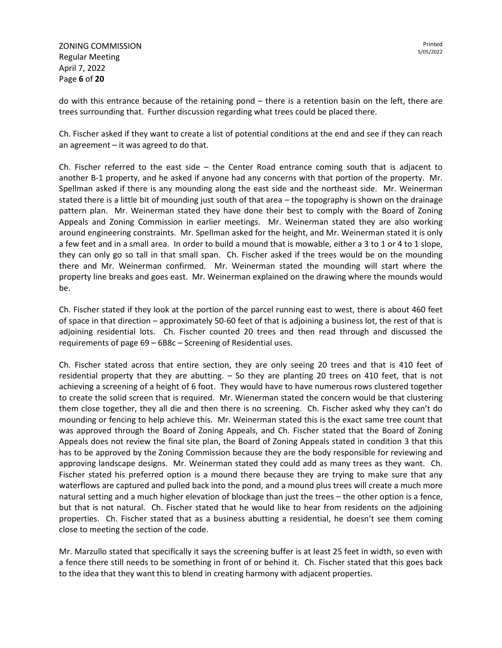ZONING COMMISSION Regular Meeting April 7, 2022 Page **6** of **20**

Printed 5/05/2022

do with this entrance because of the retaining pond – there is a retention basin on the left, there are trees surrounding that. Further discussion regarding what trees could be placed there.

Ch. Fischer asked if they want to create a list of potential conditions at the end and see if they can reach an agreement – it was agreed to do that.

Ch. Fischer referred to the east side – the Center Road entrance coming south that is adjacent to another B-1 property, and he asked if anyone had any concerns with that portion of the property. Mr. Spellman asked if there is any mounding along the east side and the northeast side. Mr. Weinerman stated there is a little bit of mounding just south of that area – the topography is shown on the drainage pattern plan. Mr. Weinerman stated they have done their best to comply with the Board of Zoning Appeals and Zoning Commission in earlier meetings. Mr. Weinerman stated they are also working around engineering constraints. Mr. Spellman asked for the height, and Mr. Weinerman stated it is only a few feet and in a small area. In order to build a mound that is mowable, either a 3 to 1 or 4 to 1 slope, they can only go so tall in that small span. Ch. Fischer asked if the trees would be on the mounding there and Mr. Weinerman confirmed. Mr. Weinerman stated the mounding will start where the property line breaks and goes east. Mr. Weinerman explained on the drawing where the mounds would be.

Ch. Fischer stated if they look at the portion of the parcel running east to west, there is about 460 feet of space in that direction – approximately 50-60 feet of that is adjoining a business lot, the rest of that is adjoining residential lots. Ch. Fischer counted 20 trees and then read through and discussed the requirements of page 69 – 6B8c – Screening of Residential uses.

Ch. Fischer stated across that entire section, they are only seeing 20 trees and that is 410 feet of residential property that they are abutting. – So they are planting 20 trees on 410 feet, that is not achieving a screening of a height of 6 foot. They would have to have numerous rows clustered together to create the solid screen that is required. Mr. Wienerman stated the concern would be that clustering them close together, they all die and then there is no screening. Ch. Fischer asked why they can't do mounding or fencing to help achieve this. Mr. Weinerman stated this is the exact same tree count that was approved through the Board of Zoning Appeals, and Ch. Fischer stated that the Board of Zoning Appeals does not review the final site plan, the Board of Zoning Appeals stated in condition 3 that this has to be approved by the Zoning Commission because they are the body responsible for reviewing and approving landscape designs. Mr. Weinerman stated they could add as many trees as they want. Ch. Fischer stated his preferred option is a mound there because they are trying to make sure that any waterflows are captured and pulled back into the pond, and a mound plus trees will create a much more natural setting and a much higher elevation of blockage than just the trees – the other option is a fence, but that is not natural. Ch. Fischer stated that he would like to hear from residents on the adjoining properties. Ch. Fischer stated that as a business abutting a residential, he doesn't see them coming close to meeting the section of the code.

Mr. Marzullo stated that specifically it says the screening buffer is at least 25 feet in width, so even with a fence there still needs to be something in front of or behind it. Ch. Fischer stated that this goes back to the idea that they want this to blend in creating harmony with adjacent properties.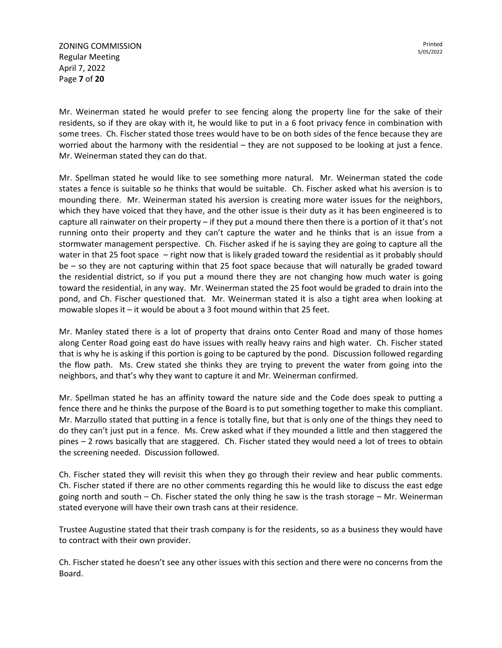ZONING COMMISSION Regular Meeting April 7, 2022 Page **7** of **20**

Mr. Weinerman stated he would prefer to see fencing along the property line for the sake of their residents, so if they are okay with it, he would like to put in a 6 foot privacy fence in combination with some trees. Ch. Fischer stated those trees would have to be on both sides of the fence because they are worried about the harmony with the residential – they are not supposed to be looking at just a fence. Mr. Weinerman stated they can do that.

Mr. Spellman stated he would like to see something more natural. Mr. Weinerman stated the code states a fence is suitable so he thinks that would be suitable. Ch. Fischer asked what his aversion is to mounding there. Mr. Weinerman stated his aversion is creating more water issues for the neighbors, which they have voiced that they have, and the other issue is their duty as it has been engineered is to capture all rainwater on their property – if they put a mound there then there is a portion of it that's not running onto their property and they can't capture the water and he thinks that is an issue from a stormwater management perspective. Ch. Fischer asked if he is saying they are going to capture all the water in that 25 foot space – right now that is likely graded toward the residential as it probably should be – so they are not capturing within that 25 foot space because that will naturally be graded toward the residential district, so if you put a mound there they are not changing how much water is going toward the residential, in any way. Mr. Weinerman stated the 25 foot would be graded to drain into the pond, and Ch. Fischer questioned that. Mr. Weinerman stated it is also a tight area when looking at mowable slopes it – it would be about a 3 foot mound within that 25 feet.

Mr. Manley stated there is a lot of property that drains onto Center Road and many of those homes along Center Road going east do have issues with really heavy rains and high water. Ch. Fischer stated that is why he is asking if this portion is going to be captured by the pond. Discussion followed regarding the flow path. Ms. Crew stated she thinks they are trying to prevent the water from going into the neighbors, and that's why they want to capture it and Mr. Weinerman confirmed.

Mr. Spellman stated he has an affinity toward the nature side and the Code does speak to putting a fence there and he thinks the purpose of the Board is to put something together to make this compliant. Mr. Marzullo stated that putting in a fence is totally fine, but that is only one of the things they need to do they can't just put in a fence. Ms. Crew asked what if they mounded a little and then staggered the pines – 2 rows basically that are staggered. Ch. Fischer stated they would need a lot of trees to obtain the screening needed. Discussion followed.

Ch. Fischer stated they will revisit this when they go through their review and hear public comments. Ch. Fischer stated if there are no other comments regarding this he would like to discuss the east edge going north and south – Ch. Fischer stated the only thing he saw is the trash storage – Mr. Weinerman stated everyone will have their own trash cans at their residence.

Trustee Augustine stated that their trash company is for the residents, so as a business they would have to contract with their own provider.

Ch. Fischer stated he doesn't see any other issues with this section and there were no concerns from the Board.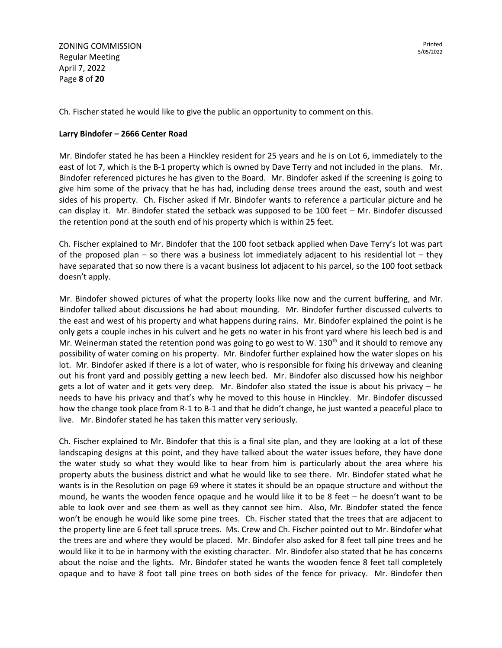ZONING COMMISSION Regular Meeting April 7, 2022 Page **8** of **20**

Ch. Fischer stated he would like to give the public an opportunity to comment on this.

## **Larry Bindofer – 2666 Center Road**

Mr. Bindofer stated he has been a Hinckley resident for 25 years and he is on Lot 6, immediately to the east of lot 7, which is the B-1 property which is owned by Dave Terry and not included in the plans. Mr. Bindofer referenced pictures he has given to the Board. Mr. Bindofer asked if the screening is going to give him some of the privacy that he has had, including dense trees around the east, south and west sides of his property. Ch. Fischer asked if Mr. Bindofer wants to reference a particular picture and he can display it. Mr. Bindofer stated the setback was supposed to be 100 feet – Mr. Bindofer discussed the retention pond at the south end of his property which is within 25 feet.

Ch. Fischer explained to Mr. Bindofer that the 100 foot setback applied when Dave Terry's lot was part of the proposed plan – so there was a business lot immediately adjacent to his residential lot – they have separated that so now there is a vacant business lot adjacent to his parcel, so the 100 foot setback doesn't apply.

Mr. Bindofer showed pictures of what the property looks like now and the current buffering, and Mr. Bindofer talked about discussions he had about mounding. Mr. Bindofer further discussed culverts to the east and west of his property and what happens during rains. Mr. Bindofer explained the point is he only gets a couple inches in his culvert and he gets no water in his front yard where his leech bed is and Mr. Weinerman stated the retention pond was going to go west to W. 130<sup>th</sup> and it should to remove any possibility of water coming on his property. Mr. Bindofer further explained how the water slopes on his lot. Mr. Bindofer asked if there is a lot of water, who is responsible for fixing his driveway and cleaning out his front yard and possibly getting a new leech bed. Mr. Bindofer also discussed how his neighbor gets a lot of water and it gets very deep. Mr. Bindofer also stated the issue is about his privacy – he needs to have his privacy and that's why he moved to this house in Hinckley. Mr. Bindofer discussed how the change took place from R-1 to B-1 and that he didn't change, he just wanted a peaceful place to live. Mr. Bindofer stated he has taken this matter very seriously.

Ch. Fischer explained to Mr. Bindofer that this is a final site plan, and they are looking at a lot of these landscaping designs at this point, and they have talked about the water issues before, they have done the water study so what they would like to hear from him is particularly about the area where his property abuts the business district and what he would like to see there. Mr. Bindofer stated what he wants is in the Resolution on page 69 where it states it should be an opaque structure and without the mound, he wants the wooden fence opaque and he would like it to be 8 feet – he doesn't want to be able to look over and see them as well as they cannot see him. Also, Mr. Bindofer stated the fence won't be enough he would like some pine trees. Ch. Fischer stated that the trees that are adjacent to the property line are 6 feet tall spruce trees. Ms. Crew and Ch. Fischer pointed out to Mr. Bindofer what the trees are and where they would be placed. Mr. Bindofer also asked for 8 feet tall pine trees and he would like it to be in harmony with the existing character. Mr. Bindofer also stated that he has concerns about the noise and the lights. Mr. Bindofer stated he wants the wooden fence 8 feet tall completely opaque and to have 8 foot tall pine trees on both sides of the fence for privacy. Mr. Bindofer then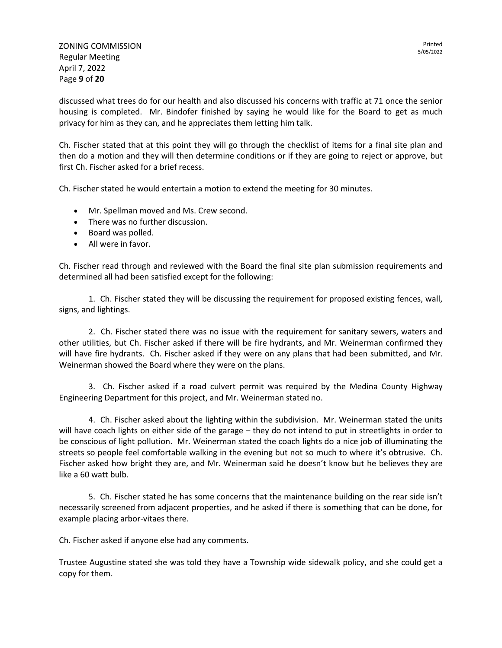ZONING COMMISSION Regular Meeting April 7, 2022 Page **9** of **20**

discussed what trees do for our health and also discussed his concerns with traffic at 71 once the senior housing is completed. Mr. Bindofer finished by saying he would like for the Board to get as much privacy for him as they can, and he appreciates them letting him talk.

Ch. Fischer stated that at this point they will go through the checklist of items for a final site plan and then do a motion and they will then determine conditions or if they are going to reject or approve, but first Ch. Fischer asked for a brief recess.

Ch. Fischer stated he would entertain a motion to extend the meeting for 30 minutes.

- Mr. Spellman moved and Ms. Crew second.
- There was no further discussion.
- Board was polled.
- All were in favor.

Ch. Fischer read through and reviewed with the Board the final site plan submission requirements and determined all had been satisfied except for the following:

1. Ch. Fischer stated they will be discussing the requirement for proposed existing fences, wall, signs, and lightings.

2. Ch. Fischer stated there was no issue with the requirement for sanitary sewers, waters and other utilities, but Ch. Fischer asked if there will be fire hydrants, and Mr. Weinerman confirmed they will have fire hydrants. Ch. Fischer asked if they were on any plans that had been submitted, and Mr. Weinerman showed the Board where they were on the plans.

3. Ch. Fischer asked if a road culvert permit was required by the Medina County Highway Engineering Department for this project, and Mr. Weinerman stated no.

4. Ch. Fischer asked about the lighting within the subdivision. Mr. Weinerman stated the units will have coach lights on either side of the garage – they do not intend to put in streetlights in order to be conscious of light pollution. Mr. Weinerman stated the coach lights do a nice job of illuminating the streets so people feel comfortable walking in the evening but not so much to where it's obtrusive. Ch. Fischer asked how bright they are, and Mr. Weinerman said he doesn't know but he believes they are like a 60 watt bulb.

5. Ch. Fischer stated he has some concerns that the maintenance building on the rear side isn't necessarily screened from adjacent properties, and he asked if there is something that can be done, for example placing arbor-vitaes there.

Ch. Fischer asked if anyone else had any comments.

Trustee Augustine stated she was told they have a Township wide sidewalk policy, and she could get a copy for them.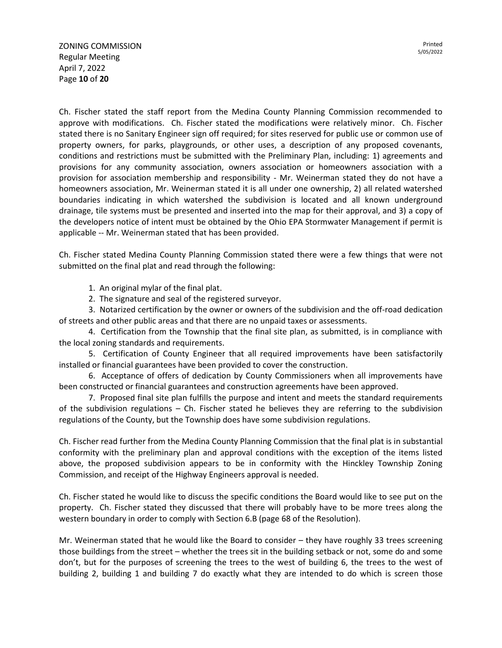Ch. Fischer stated the staff report from the Medina County Planning Commission recommended to approve with modifications. Ch. Fischer stated the modifications were relatively minor. Ch. Fischer stated there is no Sanitary Engineer sign off required; for sites reserved for public use or common use of property owners, for parks, playgrounds, or other uses, a description of any proposed covenants, conditions and restrictions must be submitted with the Preliminary Plan, including: 1) agreements and provisions for any community association, owners association or homeowners association with a provision for association membership and responsibility - Mr. Weinerman stated they do not have a homeowners association, Mr. Weinerman stated it is all under one ownership, 2) all related watershed boundaries indicating in which watershed the subdivision is located and all known underground drainage, tile systems must be presented and inserted into the map for their approval, and 3) a copy of the developers notice of intent must be obtained by the Ohio EPA Stormwater Management if permit is applicable -- Mr. Weinerman stated that has been provided.

Ch. Fischer stated Medina County Planning Commission stated there were a few things that were not submitted on the final plat and read through the following:

1. An original mylar of the final plat.

2. The signature and seal of the registered surveyor.

3. Notarized certification by the owner or owners of the subdivision and the off-road dedication of streets and other public areas and that there are no unpaid taxes or assessments.

4. Certification from the Township that the final site plan, as submitted, is in compliance with the local zoning standards and requirements.

5. Certification of County Engineer that all required improvements have been satisfactorily installed or financial guarantees have been provided to cover the construction.

6. Acceptance of offers of dedication by County Commissioners when all improvements have been constructed or financial guarantees and construction agreements have been approved.

7. Proposed final site plan fulfills the purpose and intent and meets the standard requirements of the subdivision regulations – Ch. Fischer stated he believes they are referring to the subdivision regulations of the County, but the Township does have some subdivision regulations.

Ch. Fischer read further from the Medina County Planning Commission that the final plat is in substantial conformity with the preliminary plan and approval conditions with the exception of the items listed above, the proposed subdivision appears to be in conformity with the Hinckley Township Zoning Commission, and receipt of the Highway Engineers approval is needed.

Ch. Fischer stated he would like to discuss the specific conditions the Board would like to see put on the property. Ch. Fischer stated they discussed that there will probably have to be more trees along the western boundary in order to comply with Section 6.B (page 68 of the Resolution).

Mr. Weinerman stated that he would like the Board to consider – they have roughly 33 trees screening those buildings from the street – whether the trees sit in the building setback or not, some do and some don't, but for the purposes of screening the trees to the west of building 6, the trees to the west of building 2, building 1 and building 7 do exactly what they are intended to do which is screen those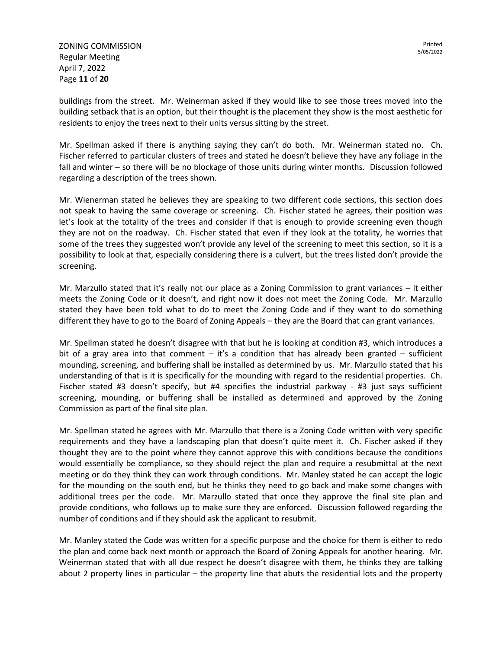ZONING COMMISSION Regular Meeting April 7, 2022 Page **11** of **20**

buildings from the street. Mr. Weinerman asked if they would like to see those trees moved into the building setback that is an option, but their thought is the placement they show is the most aesthetic for residents to enjoy the trees next to their units versus sitting by the street.

Mr. Spellman asked if there is anything saying they can't do both. Mr. Weinerman stated no. Ch. Fischer referred to particular clusters of trees and stated he doesn't believe they have any foliage in the fall and winter – so there will be no blockage of those units during winter months. Discussion followed regarding a description of the trees shown.

Mr. Wienerman stated he believes they are speaking to two different code sections, this section does not speak to having the same coverage or screening. Ch. Fischer stated he agrees, their position was let's look at the totality of the trees and consider if that is enough to provide screening even though they are not on the roadway. Ch. Fischer stated that even if they look at the totality, he worries that some of the trees they suggested won't provide any level of the screening to meet this section, so it is a possibility to look at that, especially considering there is a culvert, but the trees listed don't provide the screening.

Mr. Marzullo stated that it's really not our place as a Zoning Commission to grant variances – it either meets the Zoning Code or it doesn't, and right now it does not meet the Zoning Code. Mr. Marzullo stated they have been told what to do to meet the Zoning Code and if they want to do something different they have to go to the Board of Zoning Appeals – they are the Board that can grant variances.

Mr. Spellman stated he doesn't disagree with that but he is looking at condition #3, which introduces a bit of a gray area into that comment  $-$  it's a condition that has already been granted  $-$  sufficient mounding, screening, and buffering shall be installed as determined by us. Mr. Marzullo stated that his understanding of that is it is specifically for the mounding with regard to the residential properties. Ch. Fischer stated #3 doesn't specify, but #4 specifies the industrial parkway - #3 just says sufficient screening, mounding, or buffering shall be installed as determined and approved by the Zoning Commission as part of the final site plan.

Mr. Spellman stated he agrees with Mr. Marzullo that there is a Zoning Code written with very specific requirements and they have a landscaping plan that doesn't quite meet it. Ch. Fischer asked if they thought they are to the point where they cannot approve this with conditions because the conditions would essentially be compliance, so they should reject the plan and require a resubmittal at the next meeting or do they think they can work through conditions. Mr. Manley stated he can accept the logic for the mounding on the south end, but he thinks they need to go back and make some changes with additional trees per the code. Mr. Marzullo stated that once they approve the final site plan and provide conditions, who follows up to make sure they are enforced. Discussion followed regarding the number of conditions and if they should ask the applicant to resubmit.

Mr. Manley stated the Code was written for a specific purpose and the choice for them is either to redo the plan and come back next month or approach the Board of Zoning Appeals for another hearing. Mr. Weinerman stated that with all due respect he doesn't disagree with them, he thinks they are talking about 2 property lines in particular – the property line that abuts the residential lots and the property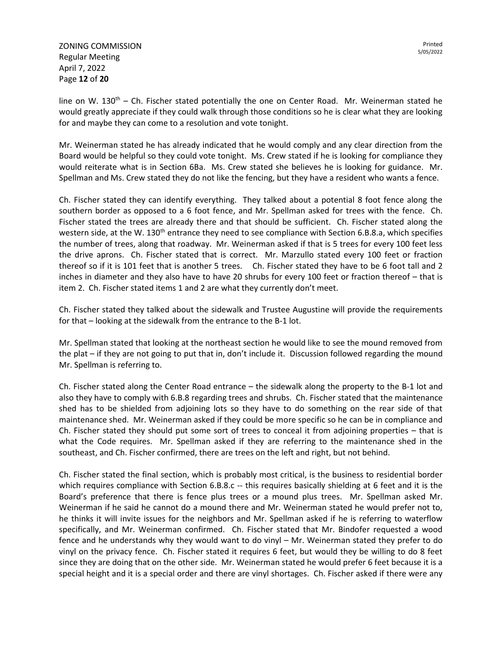ZONING COMMISSION Regular Meeting April 7, 2022 Page **12** of **20**

line on W. 130<sup>th</sup> – Ch. Fischer stated potentially the one on Center Road. Mr. Weinerman stated he would greatly appreciate if they could walk through those conditions so he is clear what they are looking for and maybe they can come to a resolution and vote tonight.

Mr. Weinerman stated he has already indicated that he would comply and any clear direction from the Board would be helpful so they could vote tonight. Ms. Crew stated if he is looking for compliance they would reiterate what is in Section 6Ba. Ms. Crew stated she believes he is looking for guidance. Mr. Spellman and Ms. Crew stated they do not like the fencing, but they have a resident who wants a fence.

Ch. Fischer stated they can identify everything. They talked about a potential 8 foot fence along the southern border as opposed to a 6 foot fence, and Mr. Spellman asked for trees with the fence. Ch. Fischer stated the trees are already there and that should be sufficient. Ch. Fischer stated along the western side, at the W. 130<sup>th</sup> entrance they need to see compliance with Section 6.B.8.a, which specifies the number of trees, along that roadway. Mr. Weinerman asked if that is 5 trees for every 100 feet less the drive aprons. Ch. Fischer stated that is correct. Mr. Marzullo stated every 100 feet or fraction thereof so if it is 101 feet that is another 5 trees. Ch. Fischer stated they have to be 6 foot tall and 2 inches in diameter and they also have to have 20 shrubs for every 100 feet or fraction thereof – that is item 2. Ch. Fischer stated items 1 and 2 are what they currently don't meet.

Ch. Fischer stated they talked about the sidewalk and Trustee Augustine will provide the requirements for that – looking at the sidewalk from the entrance to the B-1 lot.

Mr. Spellman stated that looking at the northeast section he would like to see the mound removed from the plat – if they are not going to put that in, don't include it. Discussion followed regarding the mound Mr. Spellman is referring to.

Ch. Fischer stated along the Center Road entrance – the sidewalk along the property to the B-1 lot and also they have to comply with 6.B.8 regarding trees and shrubs. Ch. Fischer stated that the maintenance shed has to be shielded from adjoining lots so they have to do something on the rear side of that maintenance shed. Mr. Weinerman asked if they could be more specific so he can be in compliance and Ch. Fischer stated they should put some sort of trees to conceal it from adjoining properties – that is what the Code requires. Mr. Spellman asked if they are referring to the maintenance shed in the southeast, and Ch. Fischer confirmed, there are trees on the left and right, but not behind.

Ch. Fischer stated the final section, which is probably most critical, is the business to residential border which requires compliance with Section 6.B.8.c -- this requires basically shielding at 6 feet and it is the Board's preference that there is fence plus trees or a mound plus trees. Mr. Spellman asked Mr. Weinerman if he said he cannot do a mound there and Mr. Weinerman stated he would prefer not to, he thinks it will invite issues for the neighbors and Mr. Spellman asked if he is referring to waterflow specifically, and Mr. Weinerman confirmed. Ch. Fischer stated that Mr. Bindofer requested a wood fence and he understands why they would want to do vinyl – Mr. Weinerman stated they prefer to do vinyl on the privacy fence. Ch. Fischer stated it requires 6 feet, but would they be willing to do 8 feet since they are doing that on the other side. Mr. Weinerman stated he would prefer 6 feet because it is a special height and it is a special order and there are vinyl shortages. Ch. Fischer asked if there were any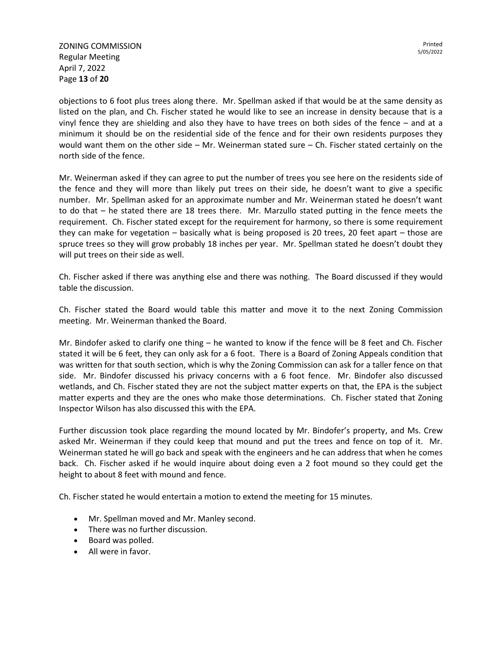ZONING COMMISSION Regular Meeting April 7, 2022 Page **13** of **20**

objections to 6 foot plus trees along there. Mr. Spellman asked if that would be at the same density as listed on the plan, and Ch. Fischer stated he would like to see an increase in density because that is a vinyl fence they are shielding and also they have to have trees on both sides of the fence – and at a minimum it should be on the residential side of the fence and for their own residents purposes they would want them on the other side – Mr. Weinerman stated sure – Ch. Fischer stated certainly on the north side of the fence.

Mr. Weinerman asked if they can agree to put the number of trees you see here on the residents side of the fence and they will more than likely put trees on their side, he doesn't want to give a specific number. Mr. Spellman asked for an approximate number and Mr. Weinerman stated he doesn't want to do that – he stated there are 18 trees there. Mr. Marzullo stated putting in the fence meets the requirement. Ch. Fischer stated except for the requirement for harmony, so there is some requirement they can make for vegetation – basically what is being proposed is 20 trees, 20 feet apart – those are spruce trees so they will grow probably 18 inches per year. Mr. Spellman stated he doesn't doubt they will put trees on their side as well.

Ch. Fischer asked if there was anything else and there was nothing. The Board discussed if they would table the discussion.

Ch. Fischer stated the Board would table this matter and move it to the next Zoning Commission meeting. Mr. Weinerman thanked the Board.

Mr. Bindofer asked to clarify one thing – he wanted to know if the fence will be 8 feet and Ch. Fischer stated it will be 6 feet, they can only ask for a 6 foot. There is a Board of Zoning Appeals condition that was written for that south section, which is why the Zoning Commission can ask for a taller fence on that side. Mr. Bindofer discussed his privacy concerns with a 6 foot fence. Mr. Bindofer also discussed wetlands, and Ch. Fischer stated they are not the subject matter experts on that, the EPA is the subject matter experts and they are the ones who make those determinations. Ch. Fischer stated that Zoning Inspector Wilson has also discussed this with the EPA.

Further discussion took place regarding the mound located by Mr. Bindofer's property, and Ms. Crew asked Mr. Weinerman if they could keep that mound and put the trees and fence on top of it. Mr. Weinerman stated he will go back and speak with the engineers and he can address that when he comes back. Ch. Fischer asked if he would inquire about doing even a 2 foot mound so they could get the height to about 8 feet with mound and fence.

Ch. Fischer stated he would entertain a motion to extend the meeting for 15 minutes.

- Mr. Spellman moved and Mr. Manley second.
- There was no further discussion.
- Board was polled.
- All were in favor.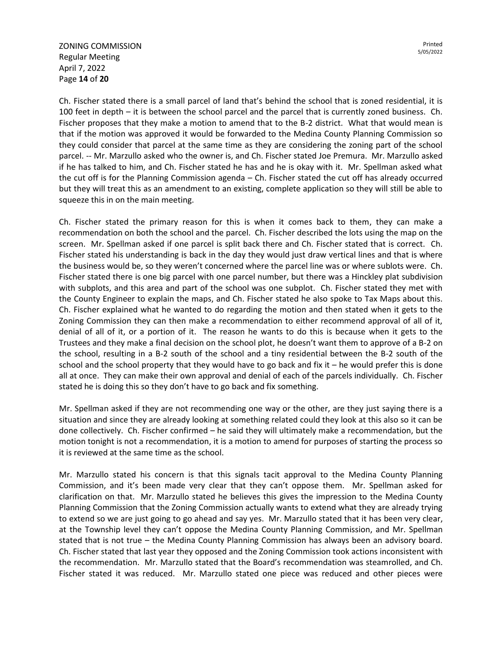ZONING COMMISSION Regular Meeting April 7, 2022 Page **14** of **20**

Ch. Fischer stated there is a small parcel of land that's behind the school that is zoned residential, it is 100 feet in depth – it is between the school parcel and the parcel that is currently zoned business. Ch. Fischer proposes that they make a motion to amend that to the B-2 district. What that would mean is that if the motion was approved it would be forwarded to the Medina County Planning Commission so they could consider that parcel at the same time as they are considering the zoning part of the school parcel. -- Mr. Marzullo asked who the owner is, and Ch. Fischer stated Joe Premura. Mr. Marzullo asked if he has talked to him, and Ch. Fischer stated he has and he is okay with it. Mr. Spellman asked what the cut off is for the Planning Commission agenda – Ch. Fischer stated the cut off has already occurred but they will treat this as an amendment to an existing, complete application so they will still be able to squeeze this in on the main meeting.

Ch. Fischer stated the primary reason for this is when it comes back to them, they can make a recommendation on both the school and the parcel. Ch. Fischer described the lots using the map on the screen. Mr. Spellman asked if one parcel is split back there and Ch. Fischer stated that is correct. Ch. Fischer stated his understanding is back in the day they would just draw vertical lines and that is where the business would be, so they weren't concerned where the parcel line was or where sublots were. Ch. Fischer stated there is one big parcel with one parcel number, but there was a Hinckley plat subdivision with subplots, and this area and part of the school was one subplot. Ch. Fischer stated they met with the County Engineer to explain the maps, and Ch. Fischer stated he also spoke to Tax Maps about this. Ch. Fischer explained what he wanted to do regarding the motion and then stated when it gets to the Zoning Commission they can then make a recommendation to either recommend approval of all of it, denial of all of it, or a portion of it. The reason he wants to do this is because when it gets to the Trustees and they make a final decision on the school plot, he doesn't want them to approve of a B-2 on the school, resulting in a B-2 south of the school and a tiny residential between the B-2 south of the school and the school property that they would have to go back and fix it  $-$  he would prefer this is done all at once. They can make their own approval and denial of each of the parcels individually. Ch. Fischer stated he is doing this so they don't have to go back and fix something.

Mr. Spellman asked if they are not recommending one way or the other, are they just saying there is a situation and since they are already looking at something related could they look at this also so it can be done collectively. Ch. Fischer confirmed – he said they will ultimately make a recommendation, but the motion tonight is not a recommendation, it is a motion to amend for purposes of starting the process so it is reviewed at the same time as the school.

Mr. Marzullo stated his concern is that this signals tacit approval to the Medina County Planning Commission, and it's been made very clear that they can't oppose them. Mr. Spellman asked for clarification on that. Mr. Marzullo stated he believes this gives the impression to the Medina County Planning Commission that the Zoning Commission actually wants to extend what they are already trying to extend so we are just going to go ahead and say yes. Mr. Marzullo stated that it has been very clear, at the Township level they can't oppose the Medina County Planning Commission, and Mr. Spellman stated that is not true – the Medina County Planning Commission has always been an advisory board. Ch. Fischer stated that last year they opposed and the Zoning Commission took actions inconsistent with the recommendation. Mr. Marzullo stated that the Board's recommendation was steamrolled, and Ch. Fischer stated it was reduced. Mr. Marzullo stated one piece was reduced and other pieces were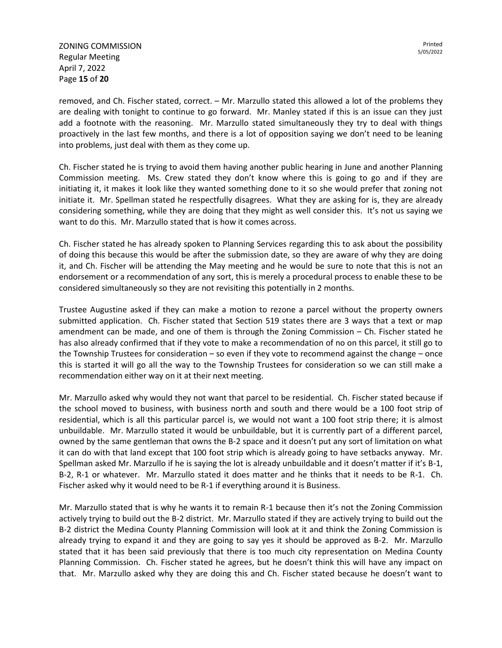ZONING COMMISSION Regular Meeting April 7, 2022 Page **15** of **20**

removed, and Ch. Fischer stated, correct. – Mr. Marzullo stated this allowed a lot of the problems they are dealing with tonight to continue to go forward. Mr. Manley stated if this is an issue can they just add a footnote with the reasoning. Mr. Marzullo stated simultaneously they try to deal with things proactively in the last few months, and there is a lot of opposition saying we don't need to be leaning into problems, just deal with them as they come up.

Ch. Fischer stated he is trying to avoid them having another public hearing in June and another Planning Commission meeting. Ms. Crew stated they don't know where this is going to go and if they are initiating it, it makes it look like they wanted something done to it so she would prefer that zoning not initiate it. Mr. Spellman stated he respectfully disagrees. What they are asking for is, they are already considering something, while they are doing that they might as well consider this. It's not us saying we want to do this. Mr. Marzullo stated that is how it comes across.

Ch. Fischer stated he has already spoken to Planning Services regarding this to ask about the possibility of doing this because this would be after the submission date, so they are aware of why they are doing it, and Ch. Fischer will be attending the May meeting and he would be sure to note that this is not an endorsement or a recommendation of any sort, this is merely a procedural process to enable these to be considered simultaneously so they are not revisiting this potentially in 2 months.

Trustee Augustine asked if they can make a motion to rezone a parcel without the property owners submitted application. Ch. Fischer stated that Section 519 states there are 3 ways that a text or map amendment can be made, and one of them is through the Zoning Commission – Ch. Fischer stated he has also already confirmed that if they vote to make a recommendation of no on this parcel, it still go to the Township Trustees for consideration – so even if they vote to recommend against the change – once this is started it will go all the way to the Township Trustees for consideration so we can still make a recommendation either way on it at their next meeting.

Mr. Marzullo asked why would they not want that parcel to be residential. Ch. Fischer stated because if the school moved to business, with business north and south and there would be a 100 foot strip of residential, which is all this particular parcel is, we would not want a 100 foot strip there; it is almost unbuildable. Mr. Marzullo stated it would be unbuildable, but it is currently part of a different parcel, owned by the same gentleman that owns the B-2 space and it doesn't put any sort of limitation on what it can do with that land except that 100 foot strip which is already going to have setbacks anyway. Mr. Spellman asked Mr. Marzullo if he is saying the lot is already unbuildable and it doesn't matter if it's B-1, B-2, R-1 or whatever. Mr. Marzullo stated it does matter and he thinks that it needs to be R-1. Ch. Fischer asked why it would need to be R-1 if everything around it is Business.

Mr. Marzullo stated that is why he wants it to remain R-1 because then it's not the Zoning Commission actively trying to build out the B-2 district. Mr. Marzullo stated if they are actively trying to build out the B-2 district the Medina County Planning Commission will look at it and think the Zoning Commission is already trying to expand it and they are going to say yes it should be approved as B-2. Mr. Marzullo stated that it has been said previously that there is too much city representation on Medina County Planning Commission. Ch. Fischer stated he agrees, but he doesn't think this will have any impact on that. Mr. Marzullo asked why they are doing this and Ch. Fischer stated because he doesn't want to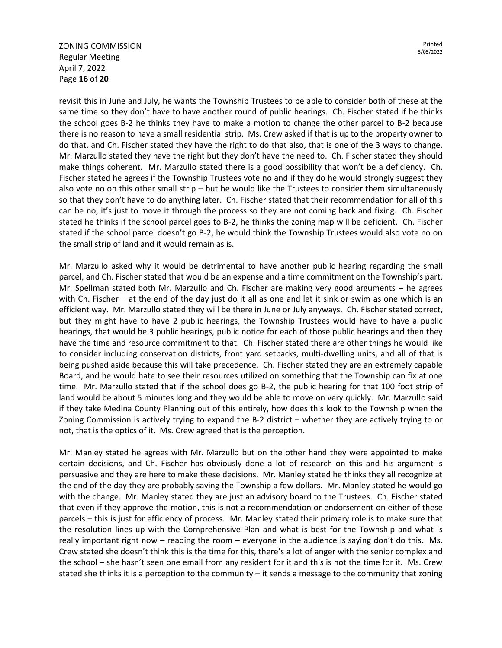ZONING COMMISSION Regular Meeting April 7, 2022 Page **16** of **20**

revisit this in June and July, he wants the Township Trustees to be able to consider both of these at the same time so they don't have to have another round of public hearings. Ch. Fischer stated if he thinks the school goes B-2 he thinks they have to make a motion to change the other parcel to B-2 because there is no reason to have a small residential strip. Ms. Crew asked if that is up to the property owner to do that, and Ch. Fischer stated they have the right to do that also, that is one of the 3 ways to change. Mr. Marzullo stated they have the right but they don't have the need to. Ch. Fischer stated they should make things coherent. Mr. Marzullo stated there is a good possibility that won't be a deficiency. Ch. Fischer stated he agrees if the Township Trustees vote no and if they do he would strongly suggest they also vote no on this other small strip – but he would like the Trustees to consider them simultaneously so that they don't have to do anything later. Ch. Fischer stated that their recommendation for all of this can be no, it's just to move it through the process so they are not coming back and fixing. Ch. Fischer stated he thinks if the school parcel goes to B-2, he thinks the zoning map will be deficient. Ch. Fischer stated if the school parcel doesn't go B-2, he would think the Township Trustees would also vote no on the small strip of land and it would remain as is.

Mr. Marzullo asked why it would be detrimental to have another public hearing regarding the small parcel, and Ch. Fischer stated that would be an expense and a time commitment on the Township's part. Mr. Spellman stated both Mr. Marzullo and Ch. Fischer are making very good arguments – he agrees with Ch. Fischer – at the end of the day just do it all as one and let it sink or swim as one which is an efficient way. Mr. Marzullo stated they will be there in June or July anyways. Ch. Fischer stated correct, but they might have to have 2 public hearings, the Township Trustees would have to have a public hearings, that would be 3 public hearings, public notice for each of those public hearings and then they have the time and resource commitment to that. Ch. Fischer stated there are other things he would like to consider including conservation districts, front yard setbacks, multi-dwelling units, and all of that is being pushed aside because this will take precedence. Ch. Fischer stated they are an extremely capable Board, and he would hate to see their resources utilized on something that the Township can fix at one time. Mr. Marzullo stated that if the school does go B-2, the public hearing for that 100 foot strip of land would be about 5 minutes long and they would be able to move on very quickly. Mr. Marzullo said if they take Medina County Planning out of this entirely, how does this look to the Township when the Zoning Commission is actively trying to expand the B-2 district – whether they are actively trying to or not, that is the optics of it. Ms. Crew agreed that is the perception.

Mr. Manley stated he agrees with Mr. Marzullo but on the other hand they were appointed to make certain decisions, and Ch. Fischer has obviously done a lot of research on this and his argument is persuasive and they are here to make these decisions. Mr. Manley stated he thinks they all recognize at the end of the day they are probably saving the Township a few dollars. Mr. Manley stated he would go with the change. Mr. Manley stated they are just an advisory board to the Trustees. Ch. Fischer stated that even if they approve the motion, this is not a recommendation or endorsement on either of these parcels – this is just for efficiency of process. Mr. Manley stated their primary role is to make sure that the resolution lines up with the Comprehensive Plan and what is best for the Township and what is really important right now – reading the room – everyone in the audience is saying don't do this. Ms. Crew stated she doesn't think this is the time for this, there's a lot of anger with the senior complex and the school – she hasn't seen one email from any resident for it and this is not the time for it. Ms. Crew stated she thinks it is a perception to the community – it sends a message to the community that zoning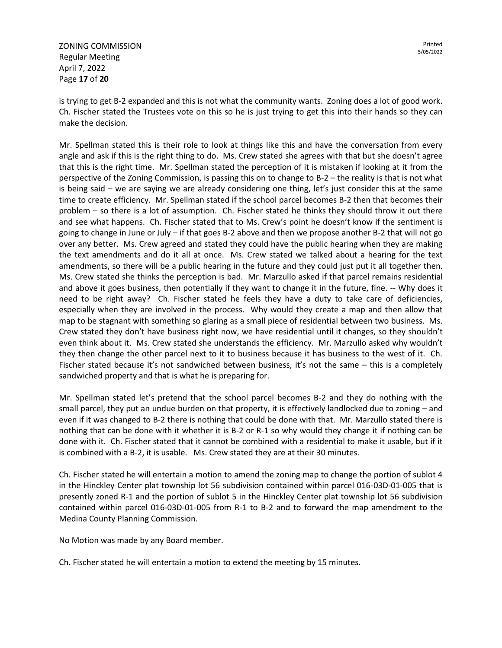ZONING COMMISSION Regular Meeting April 7, 2022 Page **17** of **20**

is trying to get B-2 expanded and this is not what the community wants. Zoning does a lot of good work. Ch. Fischer stated the Trustees vote on this so he is just trying to get this into their hands so they can make the decision.

Mr. Spellman stated this is their role to look at things like this and have the conversation from every angle and ask if this is the right thing to do. Ms. Crew stated she agrees with that but she doesn't agree that this is the right time. Mr. Spellman stated the perception of it is mistaken if looking at it from the perspective of the Zoning Commission, is passing this on to change to B-2 – the reality is that is not what is being said – we are saying we are already considering one thing, let's just consider this at the same time to create efficiency. Mr. Spellman stated if the school parcel becomes B-2 then that becomes their problem – so there is a lot of assumption. Ch. Fischer stated he thinks they should throw it out there and see what happens. Ch. Fischer stated that to Ms. Crew's point he doesn't know if the sentiment is going to change in June or July – if that goes B-2 above and then we propose another B-2 that will not go over any better. Ms. Crew agreed and stated they could have the public hearing when they are making the text amendments and do it all at once. Ms. Crew stated we talked about a hearing for the text amendments, so there will be a public hearing in the future and they could just put it all together then. Ms. Crew stated she thinks the perception is bad. Mr. Marzullo asked if that parcel remains residential and above it goes business, then potentially if they want to change it in the future, fine. -- Why does it need to be right away? Ch. Fischer stated he feels they have a duty to take care of deficiencies, especially when they are involved in the process. Why would they create a map and then allow that map to be stagnant with something so glaring as a small piece of residential between two business. Ms. Crew stated they don't have business right now, we have residential until it changes, so they shouldn't even think about it. Ms. Crew stated she understands the efficiency. Mr. Marzullo asked why wouldn't they then change the other parcel next to it to business because it has business to the west of it. Ch. Fischer stated because it's not sandwiched between business, it's not the same – this is a completely sandwiched property and that is what he is preparing for.

Mr. Spellman stated let's pretend that the school parcel becomes B-2 and they do nothing with the small parcel, they put an undue burden on that property, it is effectively landlocked due to zoning – and even if it was changed to B-2 there is nothing that could be done with that. Mr. Marzullo stated there is nothing that can be done with it whether it is B-2 or R-1 so why would they change it if nothing can be done with it. Ch. Fischer stated that it cannot be combined with a residential to make it usable, but if it is combined with a B-2, it is usable. Ms. Crew stated they are at their 30 minutes.

Ch. Fischer stated he will entertain a motion to amend the zoning map to change the portion of sublot 4 in the Hinckley Center plat township lot 56 subdivision contained within parcel 016-03D-01-005 that is presently zoned R-1 and the portion of sublot 5 in the Hinckley Center plat township lot 56 subdivision contained within parcel 016-03D-01-005 from R-1 to B-2 and to forward the map amendment to the Medina County Planning Commission.

No Motion was made by any Board member.

Ch. Fischer stated he will entertain a motion to extend the meeting by 15 minutes.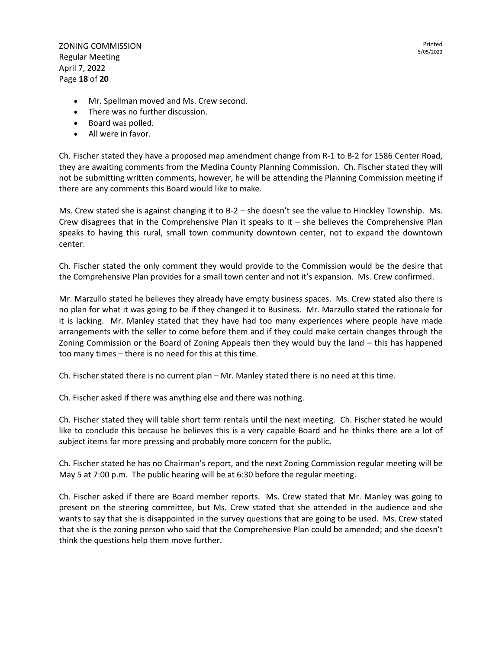ZONING COMMISSION Regular Meeting April 7, 2022 Page **18** of **20**

- Mr. Spellman moved and Ms. Crew second.
- There was no further discussion.
- Board was polled.
- All were in favor.

Ch. Fischer stated they have a proposed map amendment change from R-1 to B-2 for 1586 Center Road, they are awaiting comments from the Medina County Planning Commission. Ch. Fischer stated they will not be submitting written comments, however, he will be attending the Planning Commission meeting if there are any comments this Board would like to make.

Ms. Crew stated she is against changing it to B-2 – she doesn't see the value to Hinckley Township. Ms. Crew disagrees that in the Comprehensive Plan it speaks to it – she believes the Comprehensive Plan speaks to having this rural, small town community downtown center, not to expand the downtown center.

Ch. Fischer stated the only comment they would provide to the Commission would be the desire that the Comprehensive Plan provides for a small town center and not it's expansion. Ms. Crew confirmed.

Mr. Marzullo stated he believes they already have empty business spaces. Ms. Crew stated also there is no plan for what it was going to be if they changed it to Business. Mr. Marzullo stated the rationale for it is lacking. Mr. Manley stated that they have had too many experiences where people have made arrangements with the seller to come before them and if they could make certain changes through the Zoning Commission or the Board of Zoning Appeals then they would buy the land – this has happened too many times – there is no need for this at this time.

Ch. Fischer stated there is no current plan – Mr. Manley stated there is no need at this time.

Ch. Fischer asked if there was anything else and there was nothing.

Ch. Fischer stated they will table short term rentals until the next meeting. Ch. Fischer stated he would like to conclude this because he believes this is a very capable Board and he thinks there are a lot of subject items far more pressing and probably more concern for the public.

Ch. Fischer stated he has no Chairman's report, and the next Zoning Commission regular meeting will be May 5 at 7:00 p.m. The public hearing will be at 6:30 before the regular meeting.

Ch. Fischer asked if there are Board member reports. Ms. Crew stated that Mr. Manley was going to present on the steering committee, but Ms. Crew stated that she attended in the audience and she wants to say that she is disappointed in the survey questions that are going to be used. Ms. Crew stated that she is the zoning person who said that the Comprehensive Plan could be amended; and she doesn't think the questions help them move further.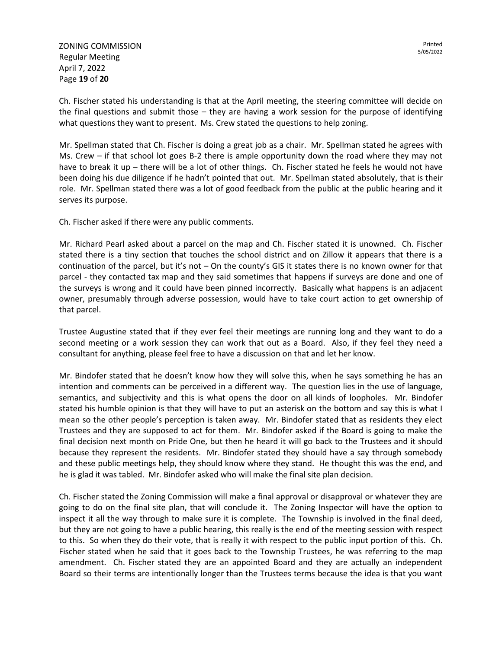Ch. Fischer stated his understanding is that at the April meeting, the steering committee will decide on the final questions and submit those – they are having a work session for the purpose of identifying what questions they want to present. Ms. Crew stated the questions to help zoning.

Mr. Spellman stated that Ch. Fischer is doing a great job as a chair. Mr. Spellman stated he agrees with Ms. Crew – if that school lot goes B-2 there is ample opportunity down the road where they may not have to break it up – there will be a lot of other things. Ch. Fischer stated he feels he would not have been doing his due diligence if he hadn't pointed that out. Mr. Spellman stated absolutely, that is their role. Mr. Spellman stated there was a lot of good feedback from the public at the public hearing and it serves its purpose.

Ch. Fischer asked if there were any public comments.

Mr. Richard Pearl asked about a parcel on the map and Ch. Fischer stated it is unowned. Ch. Fischer stated there is a tiny section that touches the school district and on Zillow it appears that there is a continuation of the parcel, but it's not – On the county's GIS it states there is no known owner for that parcel - they contacted tax map and they said sometimes that happens if surveys are done and one of the surveys is wrong and it could have been pinned incorrectly. Basically what happens is an adjacent owner, presumably through adverse possession, would have to take court action to get ownership of that parcel.

Trustee Augustine stated that if they ever feel their meetings are running long and they want to do a second meeting or a work session they can work that out as a Board. Also, if they feel they need a consultant for anything, please feel free to have a discussion on that and let her know.

Mr. Bindofer stated that he doesn't know how they will solve this, when he says something he has an intention and comments can be perceived in a different way. The question lies in the use of language, semantics, and subjectivity and this is what opens the door on all kinds of loopholes. Mr. Bindofer stated his humble opinion is that they will have to put an asterisk on the bottom and say this is what I mean so the other people's perception is taken away. Mr. Bindofer stated that as residents they elect Trustees and they are supposed to act for them. Mr. Bindofer asked if the Board is going to make the final decision next month on Pride One, but then he heard it will go back to the Trustees and it should because they represent the residents. Mr. Bindofer stated they should have a say through somebody and these public meetings help, they should know where they stand. He thought this was the end, and he is glad it was tabled. Mr. Bindofer asked who will make the final site plan decision.

Ch. Fischer stated the Zoning Commission will make a final approval or disapproval or whatever they are going to do on the final site plan, that will conclude it. The Zoning Inspector will have the option to inspect it all the way through to make sure it is complete. The Township is involved in the final deed, but they are not going to have a public hearing, this really is the end of the meeting session with respect to this. So when they do their vote, that is really it with respect to the public input portion of this. Ch. Fischer stated when he said that it goes back to the Township Trustees, he was referring to the map amendment. Ch. Fischer stated they are an appointed Board and they are actually an independent Board so their terms are intentionally longer than the Trustees terms because the idea is that you want